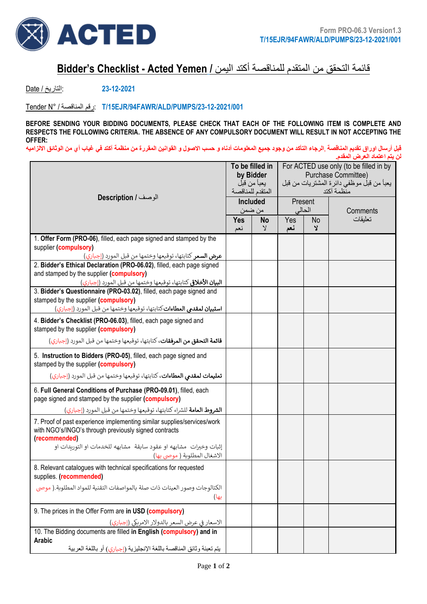

## قائمة التحقق من المتقدم للمناقصة أكتد اليمن **/ Yemen Acted - Checklist s'Bidder**

**23-12-2021** :التاريخ / Date

Tender N° / المناقصة رقم: **T/15EJR/94FAWR/ALD/PUMPS/23-12-2021/001**

**BEFORE SENDING YOUR BIDDING DOCUMENTS, PLEASE CHECK THAT EACH OF THE FOLLOWING ITEM IS COMPLETE AND RESPECTS THE FOLLOWING CRITERIA. THE ABSENCE OF ANY COMPULSORY DOCUMENT WILL RESULT IN NOT ACCEPTING THE OFFER:**

**قبل أرسال اوراق تقديم المناقصة** ,**الرجاء التأك د من وجود جميع المعلومات أدناه و حسب االصول و القوانين المقررة من منظمة آكتد في غياب أي من الوثائق االلزاميه لن يتم اعتماد العرض المقدم.** 

| الوصف / Description                                                                                                                               |  | To be filled in<br>by Bidder<br>يعبأ من قبل<br>المتقدم للمناقصة<br><b>Included</b> |            | For ACTED use only (to be filled in by<br>Purchase Committee)<br>يعبأ من قبل موظفي دائرة المشتريات من قبل<br>منظمة آكتد<br>Present |          |  |  |
|---------------------------------------------------------------------------------------------------------------------------------------------------|--|------------------------------------------------------------------------------------|------------|------------------------------------------------------------------------------------------------------------------------------------|----------|--|--|
|                                                                                                                                                   |  | من ضمن                                                                             |            | الحالي                                                                                                                             | Comments |  |  |
|                                                                                                                                                   |  | <b>No</b><br>$\mathbf{y}$                                                          | Yes<br>نعم | N <sub>o</sub><br>Y                                                                                                                | تعليقات  |  |  |
| 1. Offer Form (PRO-06), filled, each page signed and stamped by the                                                                               |  |                                                                                    |            |                                                                                                                                    |          |  |  |
| supplier (compulsory)                                                                                                                             |  |                                                                                    |            |                                                                                                                                    |          |  |  |
| عرض السعر كتابتها، توقيعها وختمها من قبل المورد (إجباري)                                                                                          |  |                                                                                    |            |                                                                                                                                    |          |  |  |
| 2. Bidder's Ethical Declaration (PRO-06.02), filled, each page signed<br>and stamped by the supplier (compulsory)                                 |  |                                                                                    |            |                                                                                                                                    |          |  |  |
| ا <b>لبيان الأخلاق</b> ى كتابتها، توقيعها وختمها من قبل المورد (إجباري)                                                                           |  |                                                                                    |            |                                                                                                                                    |          |  |  |
| 3. Bidder's Questionnaire (PRO-03.02), filled, each page signed and<br>stamped by the supplier (compulsory)                                       |  |                                                                                    |            |                                                                                                                                    |          |  |  |
| <b>استبيان لمقدمي العطاءات</b> كتابتها، توقيعها وختمها من قبل المورد (إجباري)                                                                     |  |                                                                                    |            |                                                                                                                                    |          |  |  |
| 4. Bidder's Checklist (PRO-06.03), filled, each page signed and<br>stamped by the supplier (compulsory)                                           |  |                                                                                    |            |                                                                                                                                    |          |  |  |
| <b>قائمة التحقق من المرفقات</b> ، كتابتها، توقيعها وختمها من قبل المورد (إجباري)                                                                  |  |                                                                                    |            |                                                                                                                                    |          |  |  |
| 5. Instruction to Bidders (PRO-05), filled, each page signed and<br>stamped by the supplier (compulsory)                                          |  |                                                                                    |            |                                                                                                                                    |          |  |  |
| تعليمات لمقدى العطاءات، كتابتها، توقيعها وختمها من قبل المورد (إجباري)                                                                            |  |                                                                                    |            |                                                                                                                                    |          |  |  |
| 6. Full General Conditions of Purchase (PRO-09.01), filled, each<br>page signed and stamped by the supplier (compulsory)                          |  |                                                                                    |            |                                                                                                                                    |          |  |  |
| <b>الشروط العامة</b> للشراء كتابتها، توقيعها وختمها من قبل المورد (إجباري)                                                                        |  |                                                                                    |            |                                                                                                                                    |          |  |  |
| 7. Proof of past experience implementing similar supplies/services/work<br>with NGO's/INGO's through previously signed contracts<br>(recommended) |  |                                                                                    |            |                                                                                                                                    |          |  |  |
| إثبات وخبرات مشابهه او عقود سابقة مشابهه للخدمات او التوربدات او<br>الاشغال المطلوبة ( موصى بها)                                                  |  |                                                                                    |            |                                                                                                                                    |          |  |  |
| 8. Relevant catalogues with technical specifications for requested<br>supplies. (recommended)                                                     |  |                                                                                    |            |                                                                                                                                    |          |  |  |
| الكتالوجات وصور العينات ذات صلة بالمواصفات التقنية للمواد المطلوبة.( موصى<br>بها)                                                                 |  |                                                                                    |            |                                                                                                                                    |          |  |  |
| 9. The prices in the Offer Form are in USD (compulsory)                                                                                           |  |                                                                                    |            |                                                                                                                                    |          |  |  |
| الاسعار في عرض السعر بالدولار الامريكي (إجباري)                                                                                                   |  |                                                                                    |            |                                                                                                                                    |          |  |  |
| 10. The Bidding documents are filled in English (compulsory) and in                                                                               |  |                                                                                    |            |                                                                                                                                    |          |  |  |
| Arabic<br>يتم تعبئة وثائق المناقصة باللغة الإنجليزية (إجباري) أو باللغة العربية                                                                   |  |                                                                                    |            |                                                                                                                                    |          |  |  |